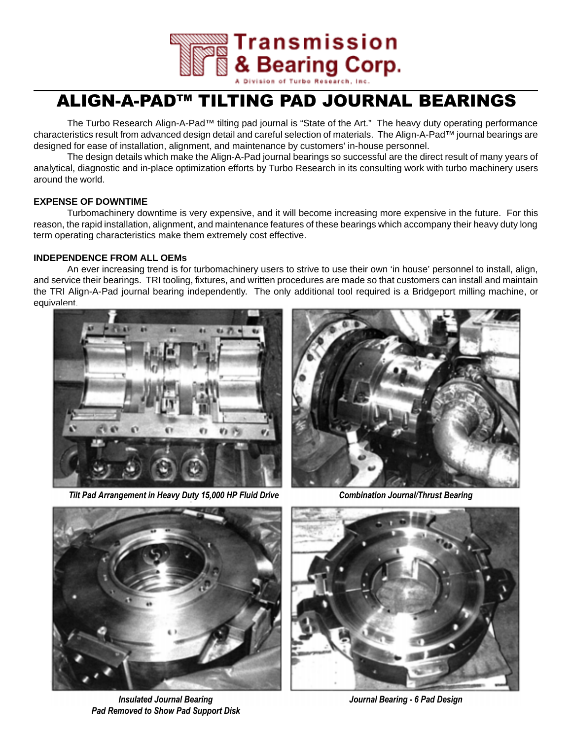

# ALIGN-A-PAD™ TILTING PAD JOURNAL BEARINGS

The Turbo Research Align-A-Pad™ tilting pad journal is "State of the Art." The heavy duty operating performance characteristics result from advanced design detail and careful selection of materials. The Align-A-Pad™ journal bearings are designed for ease of installation, alignment, and maintenance by customers' in-house personnel.

The design details which make the Align-A-Pad journal bearings so successful are the direct result of many years of analytical, diagnostic and in-place optimization efforts by Turbo Research in its consulting work with turbo machinery users around the world.

## **EXPENSE OF DOWNTIME**

Turbomachinery downtime is very expensive, and it will become increasing more expensive in the future. For this reason, the rapid installation, alignment, and maintenance features of these bearings which accompany their heavy duty long term operating characteristics make them extremely cost effective.

# **INDEPENDENCE FROM ALL OEMs**

An ever increasing trend is for turbomachinery users to strive to use their own 'in house' personnel to install, align, and service their bearings. TRI tooling, fixtures, and written procedures are made so that customers can install and maintain the TRI Align-A-Pad journal bearing independently. The only additional tool required is a Bridgeport milling machine, or equivalent.



Tilt Pad Arrangement in Heavy Duty 15,000 HP Fluid Drive Combination Journal/Thrust Bearing





Insulated Journal Bearing Pad Removed to Show Pad Support Disk



Journal Bearing - 6 Pad Design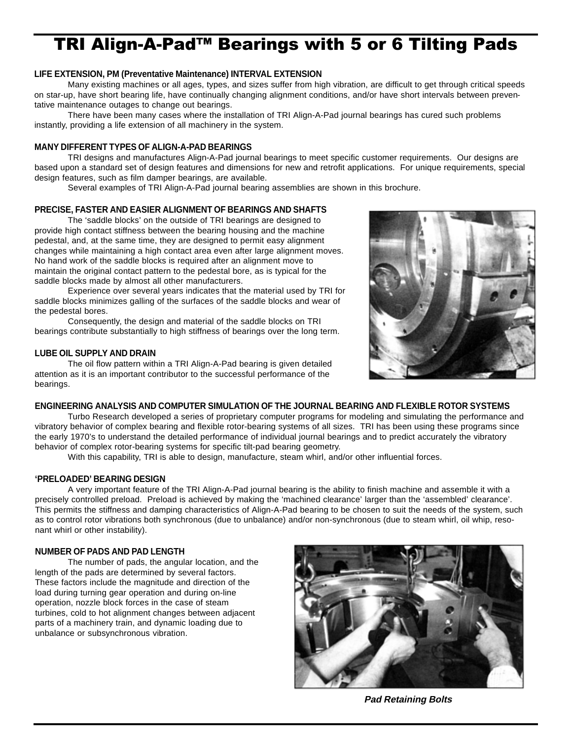# TRI Align-A-Pad<sup>™</sup> Bearings with 5 or 6 Tilting Pads

### **LIFE EXTENSION, PM (Preventative Maintenance) INTERVAL EXTENSION**

Many existing machines or all ages, types, and sizes suffer from high vibration, are difficult to get through critical speeds on star-up, have short bearing life, have continually changing alignment conditions, and/or have short intervals between preventative maintenance outages to change out bearings.

There have been many cases where the installation of TRI Align-A-Pad journal bearings has cured such problems instantly, providing a life extension of all machinery in the system.

### **MANY DIFFERENT TYPES OF ALIGN-A-PAD BEARINGS**

TRI designs and manufactures Align-A-Pad journal bearings to meet specific customer requirements. Our designs are based upon a standard set of design features and dimensions for new and retrofit applications. For unique requirements, special design features, such as film damper bearings, are available.

Several examples of TRI Align-A-Pad journal bearing assemblies are shown in this brochure.

#### **PRECISE, FASTER AND EASIER ALIGNMENT OF BEARINGS AND SHAFTS**

The 'saddle blocks' on the outside of TRI bearings are designed to provide high contact stiffness between the bearing housing and the machine pedestal, and, at the same time, they are designed to permit easy alignment changes while maintaining a high contact area even after large alignment moves. No hand work of the saddle blocks is required after an alignment move to maintain the original contact pattern to the pedestal bore, as is typical for the saddle blocks made by almost all other manufacturers.

Experience over several years indicates that the material used by TRI for saddle blocks minimizes galling of the surfaces of the saddle blocks and wear of the pedestal bores.

Consequently, the design and material of the saddle blocks on TRI bearings contribute substantially to high stiffness of bearings over the long term.

#### **LUBE OIL SUPPLY AND DRAIN**

The oil flow pattern within a TRI Align-A-Pad bearing is given detailed attention as it is an important contributor to the successful performance of the bearings.



Turbo Research developed a series of proprietary computer programs for modeling and simulating the performance and vibratory behavior of complex bearing and flexible rotor-bearing systems of all sizes. TRI has been using these programs since the early 1970's to understand the detailed performance of individual journal bearings and to predict accurately the vibratory behavior of complex rotor-bearing systems for specific tilt-pad bearing geometry.

With this capability, TRI is able to design, manufacture, steam whirl, and/or other influential forces.

### **'PRELOADED' BEARING DESIGN**

A very important feature of the TRI Align-A-Pad journal bearing is the ability to finish machine and assemble it with a precisely controlled preload. Preload is achieved by making the 'machined clearance' larger than the 'assembled' clearance'. This permits the stiffness and damping characteristics of Align-A-Pad bearing to be chosen to suit the needs of the system, such as to control rotor vibrations both synchronous (due to unbalance) and/or non-synchronous (due to steam whirl, oil whip, resonant whirl or other instability).

### **NUMBER OF PADS AND PAD LENGTH**

The number of pads, the angular location, and the length of the pads are determined by several factors. These factors include the magnitude and direction of the load during turning gear operation and during on-line operation, nozzle block forces in the case of steam turbines, cold to hot alignment changes between adjacent parts of a machinery train, and dynamic loading due to unbalance or subsynchronous vibration.



**Pad Retaining Bolts**

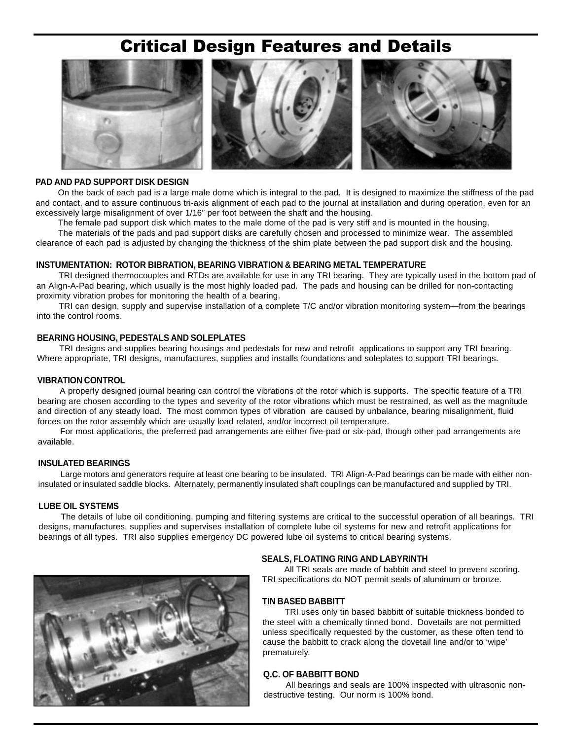# Critical Design Features and Details



#### **PAD AND PAD SUPPORT DISK DESIGN**

On the back of each pad is a large male dome which is integral to the pad. It is designed to maximize the stiffness of the pad and contact, and to assure continuous tri-axis alignment of each pad to the journal at installation and during operation, even for an excessively large misalignment of over 1/16" per foot between the shaft and the housing.

The female pad support disk which mates to the male dome of the pad is very stiff and is mounted in the housing.

The materials of the pads and pad support disks are carefully chosen and processed to minimize wear. The assembled clearance of each pad is adjusted by changing the thickness of the shim plate between the pad support disk and the housing.

#### **INSTUMENTATION: ROTOR BIBRATION, BEARING VIBRATION & BEARING METAL TEMPERATURE**

TRI designed thermocouples and RTDs are available for use in any TRI bearing. They are typically used in the bottom pad of an Align-A-Pad bearing, which usually is the most highly loaded pad. The pads and housing can be drilled for non-contacting proximity vibration probes for monitoring the health of a bearing.

TRI can design, supply and supervise installation of a complete T/C and/or vibration monitoring system—from the bearings into the control rooms.

#### **BEARING HOUSING, PEDESTALS AND SOLEPLATES**

TRI designs and supplies bearing housings and pedestals for new and retrofit applications to support any TRI bearing. Where appropriate, TRI designs, manufactures, supplies and installs foundations and soleplates to support TRI bearings.

#### **VIBRATION CONTROL**

A properly designed journal bearing can control the vibrations of the rotor which is supports. The specific feature of a TRI bearing are chosen according to the types and severity of the rotor vibrations which must be restrained, as well as the magnitude and direction of any steady load. The most common types of vibration are caused by unbalance, bearing misalignment, fluid forces on the rotor assembly which are usually load related, and/or incorrect oil temperature.

For most applications, the preferred pad arrangements are either five-pad or six-pad, though other pad arrangements are available.

## **INSULATED BEARINGS**

Large motors and generators require at least one bearing to be insulated. TRI Align-A-Pad bearings can be made with either noninsulated or insulated saddle blocks. Alternately, permanently insulated shaft couplings can be manufactured and supplied by TRI.

#### **LUBE OIL SYSTEMS**

The details of lube oil conditioning, pumping and filtering systems are critical to the successful operation of all bearings. TRI designs, manufactures, supplies and supervises installation of complete lube oil systems for new and retrofit applications for bearings of all types. TRI also supplies emergency DC powered lube oil systems to critical bearing systems.



#### **SEALS, FLOATING RING AND LABYRINTH**

All TRI seals are made of babbitt and steel to prevent scoring. TRI specifications do NOT permit seals of aluminum or bronze.

#### **TIN BASED BABBITT**

TRI uses only tin based babbitt of suitable thickness bonded to the steel with a chemically tinned bond. Dovetails are not permitted unless specifically requested by the customer, as these often tend to cause the babbitt to crack along the dovetail line and/or to 'wipe' prematurely.

#### **Q.C. OF BABBITT BOND**

All bearings and seals are 100% inspected with ultrasonic nondestructive testing. Our norm is 100% bond.